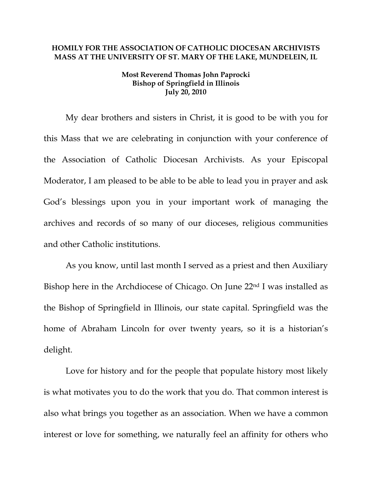## **HOMILY FOR THE ASSOCIATION OF CATHOLIC DIOCESAN ARCHIVISTS MASS AT THE UNIVERSITY OF ST. MARY OF THE LAKE, MUNDELEIN, IL**

## **Most Reverend Thomas John Paprocki Bishop of Springfield in Illinois July 20, 2010**

My dear brothers and sisters in Christ, it is good to be with you for this Mass that we are celebrating in conjunction with your conference of the Association of Catholic Diocesan Archivists. As your Episcopal Moderator, I am pleased to be able to be able to lead you in prayer and ask God's blessings upon you in your important work of managing the archives and records of so many of our dioceses, religious communities and other Catholic institutions.

As you know, until last month I served as a priest and then Auxiliary Bishop here in the Archdiocese of Chicago. On June 22<sup>nd</sup> I was installed as the Bishop of Springfield in Illinois, our state capital. Springfield was the home of Abraham Lincoln for over twenty years, so it is a historian's delight.

Love for history and for the people that populate history most likely is what motivates you to do the work that you do. That common interest is also what brings you together as an association. When we have a common interest or love for something, we naturally feel an affinity for others who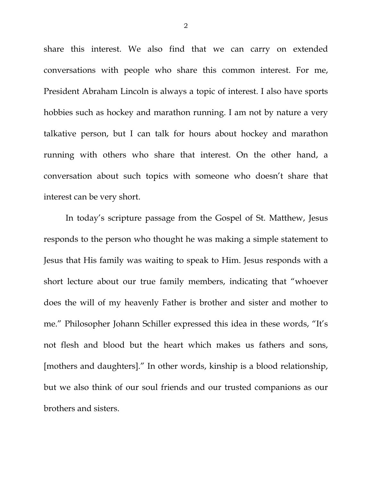share this interest. We also find that we can carry on extended conversations with people who share this common interest. For me, President Abraham Lincoln is always a topic of interest. I also have sports hobbies such as hockey and marathon running. I am not by nature a very talkative person, but I can talk for hours about hockey and marathon running with others who share that interest. On the other hand, a conversation about such topics with someone who doesn't share that interest can be very short.

In today's scripture passage from the Gospel of St. Matthew, Jesus responds to the person who thought he was making a simple statement to Jesus that His family was waiting to speak to Him. Jesus responds with a short lecture about our true family members, indicating that "whoever does the will of my heavenly Father is brother and sister and mother to me." Philosopher Johann Schiller expressed this idea in these words, "It's not flesh and blood but the heart which makes us fathers and sons, [mothers and daughters]." In other words, kinship is a blood relationship, but we also think of our soul friends and our trusted companions as our brothers and sisters.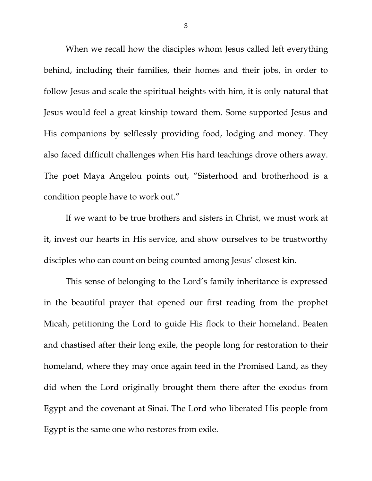When we recall how the disciples whom Jesus called left everything behind, including their families, their homes and their jobs, in order to follow Jesus and scale the spiritual heights with him, it is only natural that Jesus would feel a great kinship toward them. Some supported Jesus and His companions by selflessly providing food, lodging and money. They also faced difficult challenges when His hard teachings drove others away. The poet Maya Angelou points out, "Sisterhood and brotherhood is a condition people have to work out."

If we want to be true brothers and sisters in Christ, we must work at it, invest our hearts in His service, and show ourselves to be trustworthy disciples who can count on being counted among Jesus' closest kin.

This sense of belonging to the Lord's family inheritance is expressed in the beautiful prayer that opened our first reading from the prophet Micah, petitioning the Lord to guide His flock to their homeland. Beaten and chastised after their long exile, the people long for restoration to their homeland, where they may once again feed in the Promised Land, as they did when the Lord originally brought them there after the exodus from Egypt and the covenant at Sinai. The Lord who liberated His people from Egypt is the same one who restores from exile.